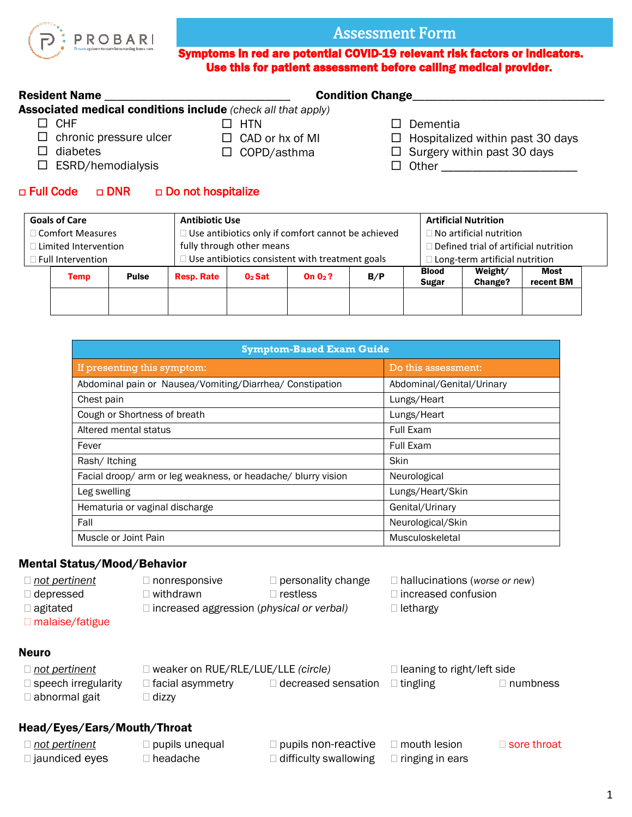

# Assessment Form

#### Symptoms in red are potential COVID-19 relevant risk factors or indicators. Use this for patient assessment before calling medical provider.

#### Resident Name \_\_\_\_\_\_\_\_\_\_\_\_\_\_\_\_\_\_\_\_\_\_\_\_\_\_\_\_\_\_ Condition Change\_\_\_\_\_\_\_\_\_\_\_\_\_\_\_\_\_\_\_\_\_\_\_\_\_\_\_\_\_\_\_

# Associated medical conditions include *(check all that apply)*

- $\Box$  CHF
- $\Box$  HTN
- $\Box$  chronic pressure ulcer
- $\Box$  diabetes
- 
- $\square$  ESRD/hemodialysis
- $\Box$  CAD or hx of MI
- 
- 
- □ COPD/asthma
- $\square$  Dementia
- $\Box$  Hospitalized within past 30 days
- $\Box$  Surgery within past 30 days
- Other \_\_\_\_\_\_\_\_\_\_\_\_\_\_\_\_\_\_\_\_\_\_

### □ Full Code □ DNR □ Do not hospitalize

| <b>Goals of Care</b>        |                      |  |                                                    | <b>Antibiotic Use</b>                           |           |                                       |                                | <b>Artificial Nutrition</b>      |                   |  |
|-----------------------------|----------------------|--|----------------------------------------------------|-------------------------------------------------|-----------|---------------------------------------|--------------------------------|----------------------------------|-------------------|--|
| □ Comfort Measures          |                      |  | Use antibiotics only if comfort cannot be achieved |                                                 |           |                                       | $\Box$ No artificial nutrition |                                  |                   |  |
| $\Box$ Limited Intervention |                      |  | fully through other means                          |                                                 |           | Defined trial of artificial nutrition |                                |                                  |                   |  |
| $\Box$ Full Intervention    |                      |  |                                                    | Use antibiotics consistent with treatment goals |           |                                       |                                | I Long-term artificial nutrition |                   |  |
|                             | <b>Pulse</b><br>Temp |  | <b>Resp. Rate</b>                                  | $02$ Sat                                        | On $02$ ? | B/P                                   | <b>Blood</b><br><b>Sugar</b>   | Weight/<br><b>Change?</b>        | Most<br>recent BM |  |
|                             |                      |  |                                                    |                                                 |           |                                       |                                |                                  |                   |  |
|                             |                      |  |                                                    |                                                 |           |                                       |                                |                                  |                   |  |

| <b>Symptom-Based Exam Guide</b>                               |                           |  |  |  |
|---------------------------------------------------------------|---------------------------|--|--|--|
| If presenting this symptom:                                   | Do this assessment:       |  |  |  |
| Abdominal pain or Nausea/Vomiting/Diarrhea/Constipation       | Abdominal/Genital/Urinary |  |  |  |
| Chest pain                                                    | Lungs/Heart               |  |  |  |
| Cough or Shortness of breath                                  | Lungs/Heart               |  |  |  |
| Altered mental status                                         | Full Exam                 |  |  |  |
| Fever                                                         | Full Exam                 |  |  |  |
| Rash/Itching                                                  | Skin                      |  |  |  |
| Facial droop/ arm or leg weakness, or headache/ blurry vision | Neurological              |  |  |  |
| Leg swelling                                                  | Lungs/Heart/Skin          |  |  |  |
| Hematuria or vaginal discharge                                | Genital/Urinary           |  |  |  |
| Fall                                                          | Neurological/Skin         |  |  |  |
| Muscle or Joint Pain                                          | Musculoskeletal           |  |  |  |

#### Mental Status/Mood/Behavior

| $\Box$ not pertinent   | $\Box$ nonresponsive                             | $\Box$ personality change | $\Box$ hallucinations (worse or new) |
|------------------------|--------------------------------------------------|---------------------------|--------------------------------------|
| $\Box$ depressed       | $\Box$ withdrawn                                 | $\lrcorner$ restless      | $\Box$ increased confusion           |
| $\Box$ agitated        | $\Box$ increased aggression (physical or verbal) |                           | $\Box$ lethargy                      |
| $\Box$ malaise/fatigue |                                                  |                           |                                      |
|                        |                                                  |                           |                                      |
| <b>Neuro</b>           |                                                  |                           |                                      |

| □ <u>not pertinent</u>     | $\Box$ weaker on RUE/RLE/LUE/LLE (circle) |                            | $\Box$ leaning to right/left side |                 |
|----------------------------|-------------------------------------------|----------------------------|-----------------------------------|-----------------|
| $\Box$ speech irregularity | $\Box$ facial asymmetry $\Box$            | $\Box$ decreased sensation | $\Box$ tingling                   | $\Box$ numbness |
| $\Box$ abnormal gait       | ⊥ dizzy                                   |                            |                                   |                 |

#### Head/Eyes/Ears/Mouth/Throat

| $\square$ not pertinent | $\Box$ pupils unequal | $\Box$ pupils non-reactive   | $\Box$ mouth lesion    | $\Box$ sore throat |
|-------------------------|-----------------------|------------------------------|------------------------|--------------------|
| $\Box$ jaundiced eyes   | ∃ headache i          | $\Box$ difficulty swallowing | $\Box$ ringing in ears |                    |